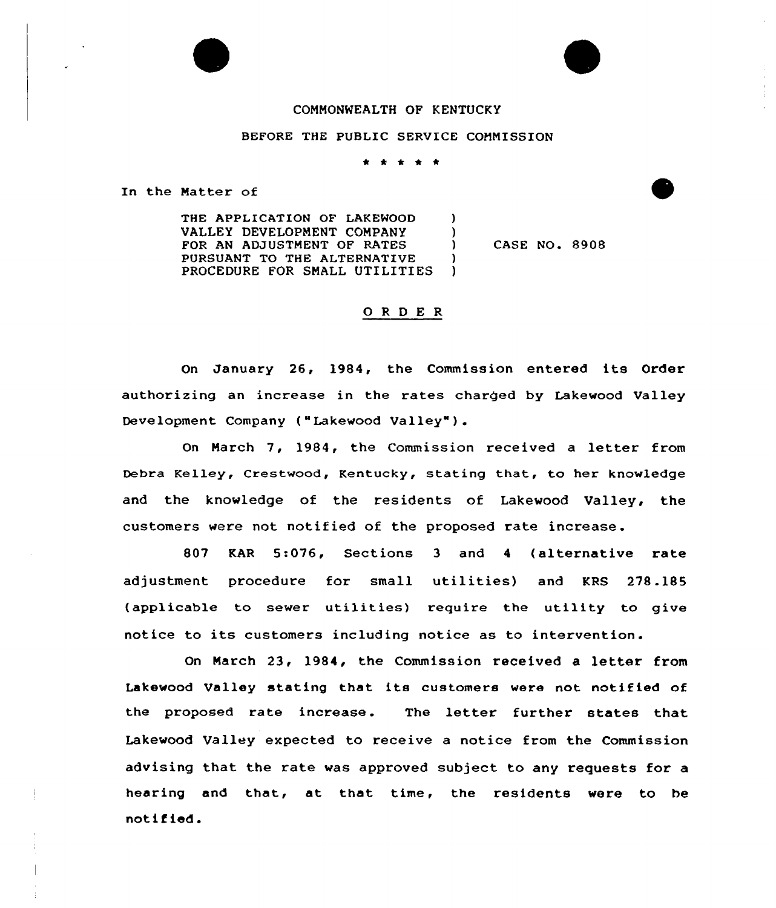## COMMONWEALTH OF KENTUCKY

## BEFORE THE PUBLIC SERVICE COMMISSION

\* \* \* \* \*

In the Matter of

THE APPLICATION OF LAKEWOOD ) VALLEY DEVELOPMENT COMPANY )<br>FOR AN ADJUSTMENT OF RATES ) FOR AN ADJUSTMENT OF RATES PURSUANT TO THE ALTERNATIVE )<br>PROCEDURE FOR SMALL UTILITIES ) PROCEDURE FOR SMALL UTILITIES

CASE NO. 8908

## 0 <sup>R</sup> <sup>D</sup> <sup>E</sup> <sup>R</sup>

On January 26, 1984, the Commission entered its Order authorizing an increase in the rates charged by Lakewood Valley Development Company ("Lakewood Valley" ).

On March 7, 1984, the Commission received a letter from Debra Kelley, Crestwood, Kentucky, stating that, to her knowledge and the knowledge of the residents of Lakewood Valley, the customers were not notified of the proposed rate increase.

807 KAR 5:076, Sections 3 and <sup>4</sup> (alternative rate adjustment procedure for small utilities) and KRS 278.185 (applicable to sewer utilities) require the utility to give notice to its customers including notice as to intervention.

On March 23, 1984, the Commission received a letter from Lakewood Valley stating that its customers were not notified of the proposed rate increase. The letter further states that Lakewood Valley expected to receive a notice from the Commission advising that the rate was approved subject to any requests for a hearing and that, at that time, the residents were to be notified.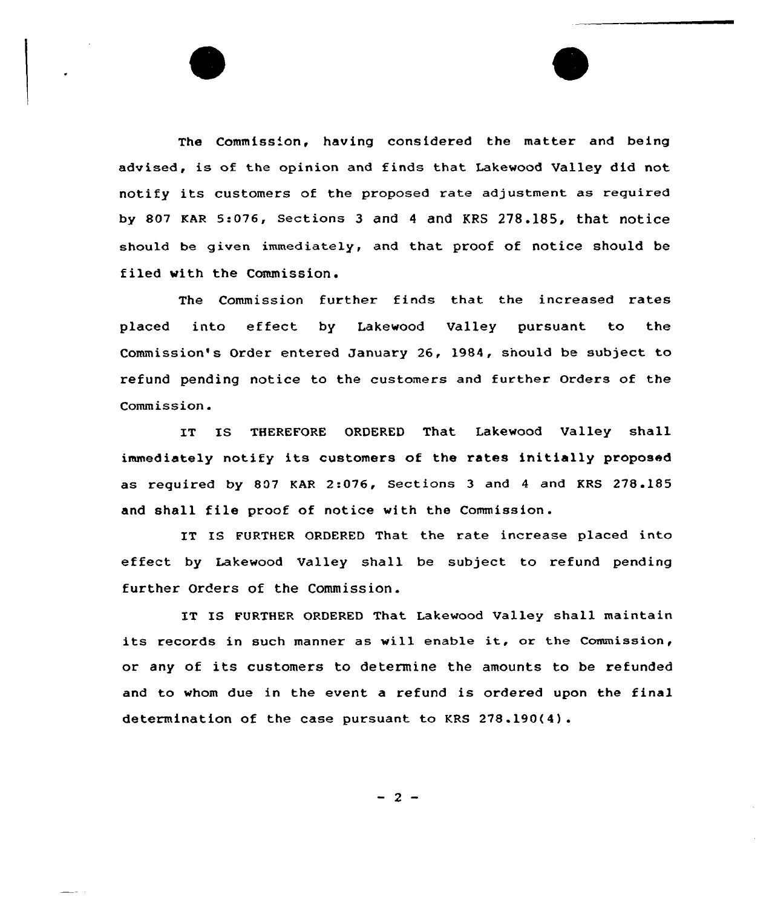The Commission, having considered the matter and being advised, is of the opinion and finds that Lakewood Valley did not notify its customers of the proposed rate adjustment as required by 807 KAR 5:076, Sections 3 and 4 and KRS 278.185, that notice should be given immediately, and that proof of notice should be filed with the Commission.

The Commission further finds that the increased rates placed into effect by Lakewood Valley pursuant to the Commission's Order entered January 26, 1984, should be subject to refund pending notice to the customers and further Orders of the Commission.

IT IS THEREFORE ORDERED That Lakewood Valley shall immediately notify its customers of the rates initially proposed as required by 807 KAR 2:076, Sections 3 and <sup>4</sup> and KRS 278.185 and shall file proof of notice with the Commission.

IT IS FURTHER ORDERED That the rate increase placed into effect by Lakewood Valley shall be subject to refund pending further Orders of the Commission.

IT IS FURTHER ORDERED That Lakewood Valley shall maintain its records in such manner as vill enable it, or the Commission, or any of its customers to determine the amounts to be refunded and to whom due in the event a refund is ordered upon the final determination of the case pursuant to KRS <sup>278</sup> .190(4).

 $-2-$